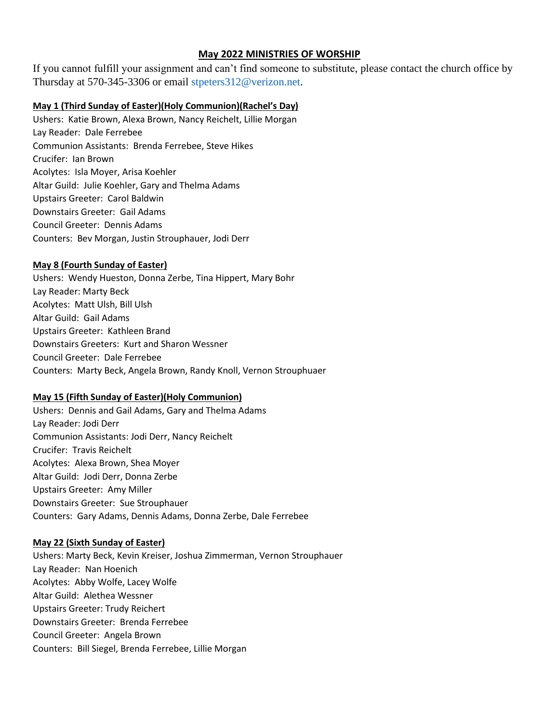## **May 2022 MINISTRIES OF WORSHIP**

If you cannot fulfill your assignment and can't find someone to substitute, please contact the church office by Thursday at 570-345-3306 or email [stpeters312@verizon.net.](mailto:stpeters312@verizon.net)

### **May 1 (Third Sunday of Easter)(Holy Communion)(Rachel's Day)**

Ushers: Katie Brown, Alexa Brown, Nancy Reichelt, Lillie Morgan Lay Reader: Dale Ferrebee Communion Assistants: Brenda Ferrebee, Steve Hikes Crucifer: Ian Brown Acolytes: Isla Moyer, Arisa Koehler Altar Guild: Julie Koehler, Gary and Thelma Adams Upstairs Greeter: Carol Baldwin Downstairs Greeter: Gail Adams Council Greeter: Dennis Adams Counters: Bev Morgan, Justin Strouphauer, Jodi Derr

## **May 8 (Fourth Sunday of Easter)**

Ushers: Wendy Hueston, Donna Zerbe, Tina Hippert, Mary Bohr Lay Reader: Marty Beck Acolytes: Matt Ulsh, Bill Ulsh Altar Guild: Gail Adams Upstairs Greeter: Kathleen Brand Downstairs Greeters: Kurt and Sharon Wessner Council Greeter: Dale Ferrebee Counters: Marty Beck, Angela Brown, Randy Knoll, Vernon Strouphuaer

#### **May 15 (Fifth Sunday of Easter)(Holy Communion)**

Ushers: Dennis and Gail Adams, Gary and Thelma Adams Lay Reader: Jodi Derr Communion Assistants: Jodi Derr, Nancy Reichelt Crucifer: Travis Reichelt Acolytes: Alexa Brown, Shea Moyer Altar Guild: Jodi Derr, Donna Zerbe Upstairs Greeter: Amy Miller Downstairs Greeter: Sue Strouphauer Counters: Gary Adams, Dennis Adams, Donna Zerbe, Dale Ferrebee

#### **May 22 (Sixth Sunday of Easter)**

Ushers: Marty Beck, Kevin Kreiser, Joshua Zimmerman, Vernon Strouphauer Lay Reader: Nan Hoenich Acolytes: Abby Wolfe, Lacey Wolfe Altar Guild: Alethea Wessner Upstairs Greeter: Trudy Reichert Downstairs Greeter: Brenda Ferrebee Council Greeter: Angela Brown Counters: Bill Siegel, Brenda Ferrebee, Lillie Morgan